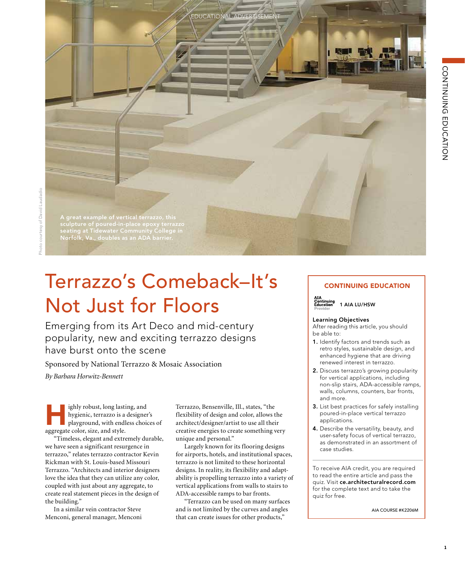A great example of vertical terrazzo, this sculpture of poured-in-place epoxy terrazzo seating at Tidewater Community College in Norfolk, Va., doubles as an ADA barrier.

# Terrazzo's Comeback–It's Not Just for Floors

Emerging from its Art Deco and mid-century popularity, new and exciting terrazzo designs have burst onto the scene

Sponsored by National Terrazzo & Mosaic Association

*By Barbara Horwitz-Bennett*

Fighly robust, long lasting, and<br>hygienic, terrazzo is a designer's<br>playground, with endless choices of hygienic, terrazzo is a designer's aggregate color, size, and style.

"Timeless, elegant and extremely durable, we have seen a significant resurgence in terrazzo," relates terrazzo contractor Kevin Rickman with St. Louis-based Missouri Terrazzo. "Architects and interior designers love the idea that they can utilize any color, coupled with just about any aggregate, to create real statement pieces in the design of the building."

In a similar vein contractor Steve Menconi, general manager, Menconi Terrazzo, Bensenville, Ill., states, "the flexibility of design and color, allows the architect/designer/artist to use all their creative energies to create something very unique and personal."

**IDUCATIONAL-ADVERT** 

Largely known for its flooring designs for airports, hotels, and institutional spaces, terrazzo is not limited to these horizontal designs. In reality, its flexibility and adaptability is propelling terrazzo into a variety of vertical applications from walls to stairs to ADA-accessible ramps to bar fronts.

"Terrazzo can be used on many surfaces and is not limited by the curves and angles that can create issues for other products,"

# CONTINUING EDUCATION

**AIA**<br>Continuing<br>Education<br>Provider 1 AIA LU/HSW

### Learning Objectives

After reading this article, you should be able to:

- 1. Identify factors and trends such as retro styles, sustainable design, and enhanced hygiene that are driving renewed interest in terrazzo.
- 2. Discuss terrazzo's growing popularity for vertical applications, including non-slip stairs, ADA-accessible ramps, walls, columns, counters, bar fronts, and more.
- 3. List best practices for safely installing poured-in-place vertical terrazzo applications.
- 4. Describe the versatility, beauty, and user-safety focus of vertical terrazzo, as demonstrated in an assortment of case studies.

To receive AIA credit, you are required to read the entire article and pass the quiz. Visit ce.architecturalrecord.com for the complete text and to take the quiz for free.

AIA COURSE #K2206M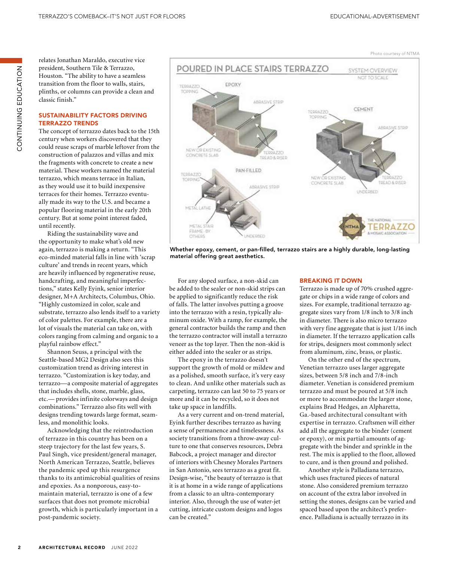CONTINUING EDUCATION ZOI-YUJQI UZIJZI-IZOU relates Jonathan Maraldo, executive vice president, Southern Tile & Terrazzo, Houston. "The ability to have a seamless transition from the floor to walls, stairs, plinths, or columns can provide a clean and classic finish."

# SUSTAINABILITY FACTORS DRIVING TERRAZZO TRENDS

The concept of terrazzo dates back to the 15th century when workers discovered that they could reuse scraps of marble leftover from the construction of palazzos and villas and mix the fragments with concrete to create a new material. These workers named the material terrazzo, which means terrace in Italian, as they would use it to build inexpensive terraces for their homes. Terrazzo eventually made its way to the U.S. and became a popular flooring material in the early 20th century. But at some point interest faded, until recently.

Riding the sustainability wave and the opportunity to make what's old new again, terrazzo is making a return. "This eco-minded material falls in line with 'scrap culture' and trends in recent years, which are heavily influenced by regenerative reuse, handcrafting, and meaningful imperfections," states Kelly Eyink, senior interior designer, M+A Architects, Columbus, Ohio. "Highly customized in color, scale and substrate, terrazzo also lends itself to a variety of color palettes. For example, there are a lot of visuals the material can take on, with colors ranging from calming and organic to a playful rainbow effect."

Shannon Seuss, a principal with the Seattle-based MG2 Design also sees this customization trend as driving interest in terrazzo. "Customization is key today, and terrazzo—a composite material of aggregates that includes shells, stone, marble, glass, etc.— provides infinite colorways and design combinations." Terrazzo also fits well with designs trending towards large format, seamless, and monolithic looks.

Acknowledging that the reintroduction of terrazzo in this country has been on a steep trajectory for the last few years, S. Paul Singh, vice president/general manager, North American Terrazzo, Seattle, believes the pandemic sped up this resurgence thanks to its antimicrobial qualities of resins and epoxies. As a nonporous, easy-tomaintain material, terrazzo is one of a few surfaces that does not promote microbial growth, which is particularly important in a post-pandemic society.



Whether epoxy, cement, or pan-filled, terrazzo stairs are a highly durable, long-lasting material offering great aesthetics.

For any sloped surface, a non-skid can be added to the sealer or non-skid strips can be applied to significantly reduce the risk of falls. The latter involves putting a groove into the terrazzo with a resin, typically aluminum oxide. With a ramp, for example, the general contractor builds the ramp and then the terrazzo contractor will install a terrazzo veneer as the top layer. Then the non-skid is either added into the sealer or as strips.

The epoxy in the terrazzo doesn't support the growth of mold or mildew and as a polished, smooth surface, it's very easy to clean. And unlike other materials such as carpeting, terrazzo can last 50 to 75 years or more and it can be recycled, so it does not take up space in landfills.

As a very current and on-trend material, Eyink further describes terrazzo as having a sense of permanence and timelessness. As society transitions from a throw-away culture to one that conserves resources, Debra Babcock, a project manager and director of interiors with Chesney Morales Partners in San Antonio, sees terrazzo as a great fit. Design-wise, "the beauty of terrazzo is that it is at home in a wide range of applications from a classic to an ultra-contemporary interior. Also, through the use of water-jet cutting, intricate custom designs and logos can be created."

## BREAKING IT DOWN

Terrazzo is made up of 70% crushed aggregate or chips in a wide range of colors and sizes. For example, traditional terrazzo aggregate sizes vary from 1/8 inch to 3/8 inch in diameter. There is also micro terrazzo with very fine aggregate that is just 1/16 inch in diameter. If the terrazzo application calls for strips, designers most commonly select from aluminum, zinc, brass, or plastic.

On the other end of the spectrum, Venetian terrazzo uses larger aggregate sizes, between 5/8 inch and 7/8-inch diameter. Venetian is considered premium terrazzo and must be poured at 5/8 inch or more to accommodate the larger stone, explains Brad Hedges, an Alpharetta, Ga.-based architectural consultant with expertise in terrazzo. Craftsmen will either add all the aggregate to the binder (cement or epoxy), or mix partial amounts of aggregate with the binder and sprinkle in the rest. The mix is applied to the floor, allowed to cure, and is then ground and polished.

Another style is Palladiana terrazzo, which uses fractured pieces of natural stone. Also considered premium terrazzo on account of the extra labor involved in setting the stones, designs can be varied and spaced based upon the architect's preference. Palladiana is actually terrazzo in its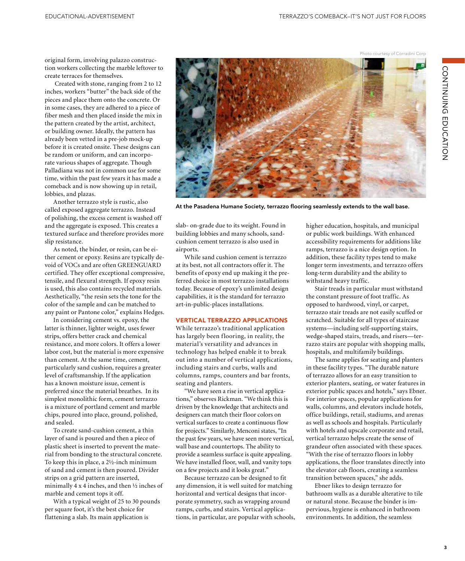CONTINUING EDUCATION CONTINUING EDUCATION

original form, involving palazzo construction workers collecting the marble leftover to create terraces for themselves.

 Created with stone, ranging from 2 to 12 inches, workers "butter" the back side of the pieces and place them onto the concrete. Or in some cases, they are adhered to a piece of fiber mesh and then placed inside the mix in the pattern created by the artist, architect, or building owner. Ideally, the pattern has already been vetted in a pre-job mock-up before it is created onsite. These designs can be random or uniform, and can incorporate various shapes of aggregate. Though Palladiana was not in common use for some time, within the past few years it has made a comeback and is now showing up in retail, lobbies, and plazas.

Another terrazzo style is rustic, also called exposed aggregate terrazzo. Instead of polishing, the excess cement is washed off and the aggregate is exposed. This creates a textured surface and therefore provides more slip resistance.

As noted, the binder, or resin, can be either cement or epoxy. Resins are typically devoid of VOCs and are often GREENGUARD certified. They offer exceptional compressive, tensile, and flexural strength. If epoxy resin is used, this also contains recycled materials. Aesthetically, "the resin sets the tone for the color of the sample and can be matched to any paint or Pantone color," explains Hedges.

In considering cement vs. epoxy, the latter is thinner, lighter weight, uses fewer strips, offers better crack and chemical resistance, and more colors. It offers a lower labor cost, but the material is more expensive than cement. At the same time, cement, particularly sand cushion, requires a greater level of craftsmanship. If the application has a known moisture issue, cement is preferred since the material breathes. In its simplest monolithic form, cement terrazzo is a mixture of portland cement and marble chips, poured into place, ground, polished, and sealed.

To create sand-cushion cement, a thin layer of sand is poured and then a piece of plastic sheet is inserted to prevent the material from bonding to the structural concrete. To keep this in place, a 2½-inch minimum of sand and cement is then poured. Divider strips on a grid pattern are inserted, minimally 4 x 4 inches, and then  $\frac{1}{2}$  inches of marble and cement tops it off.

With a typical weight of 25 to 30 pounds per square foot, it's the best choice for flattening a slab. Its main application is



At the Pasadena Humane Society, terrazzo flooring seamlessly extends to the wall base.

slab- on-grade due to its weight. Found in building lobbies and many schools, sandcushion cement terrazzo is also used in airports.

While sand cushion cement is terrazzo at its best, not all contractors offer it. The benefits of epoxy end up making it the preferred choice in most terrazzo installations today. Because of epoxy's unlimited design capabilities, it is the standard for terrazzo art-in-public-places installations.

# VERTICAL TERRAZZO APPLICATIONS

While terrazzo's traditional application has largely been flooring, in reality, the material's versatility and advances in technology has helped enable it to break out into a number of vertical applications, including stairs and curbs, walls and columns, ramps, counters and bar fronts, seating and planters.

"We have seen a rise in vertical applications," observes Rickman. "We think this is driven by the knowledge that architects and designers can match their floor colors on vertical surfaces to create a continuous flow for projects." Similarly, Menconi states, "In the past few years, we have seen more vertical, wall base and countertops. The ability to provide a seamless surface is quite appealing. We have installed floor, wall, and vanity tops on a few projects and it looks great."

Because terrazzo can be designed to fit any dimension, it is well suited for matching horizontal and vertical designs that incorporate symmetry, such as wrapping around ramps, curbs, and stairs. Vertical applications, in particular, are popular with schools, higher education, hospitals, and municipal or public work buildings. With enhanced accessibility requirements for additions like ramps, terrazzo is a nice design option. In addition, these facility types tend to make longer term investments, and terrazzo offers long-term durability and the ability to withstand heavy traffic.

Stair treads in particular must withstand the constant pressure of foot traffic. As opposed to hardwood, vinyl, or carpet, terrazzo stair treads are not easily scuffed or scratched. Suitable for all types of staircase systems—including self-supporting stairs, wedge-shaped stairs, treads, and risers—terrazzo stairs are popular with shopping malls, hospitals, and multifamily buildings.

The same applies for seating and planters in these facility types. "The durable nature of terrazzo allows for an easy transition to exterior planters, seating, or water features in exterior public spaces and hotels," says Ebner. For interior spaces, popular applications for walls, columns, and elevators include hotels, office buildings, retail, stadiums, and arenas as well as schools and hospitals. Particularly with hotels and upscale corporate and retail, vertical terrazzo helps create the sense of grandeur often associated with these spaces. "With the rise of terrazzo floors in lobby applications, the floor translates directly into the elevator cab floors, creating a seamless transition between spaces," she adds.

Ebner likes to design terrazzo for bathroom walls as a durable alterative to tile or natural stone. Because the binder is impervious, hygiene is enhanced in bathroom environments. In addition, the seamless

Photo courtesy of Corradini Corp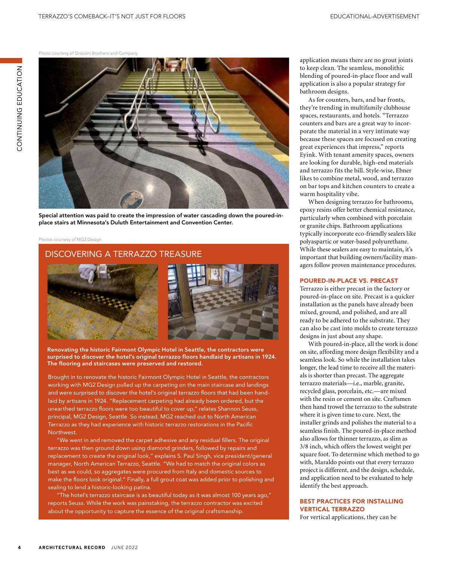Photo courtesy of Grazzini Brothers and Company



Special attention was paid to create the impression of water cascading down the poured-inplace stairs at Minnesota's Duluth Entertainment and Convention Center.

#### Photos courtesy of MG2 Design

# DISCOVERING A TERRAZZO TREASURE



Renovating the historic Fairmont Olympic Hotel in Seattle, the contractors were surprised to discover the hotel's original terrazzo floors handlaid by artisans in 1924. The flooring and staircases were preserved and restored.

Brought in to renovate the historic Fairmont Olympic Hotel in Seattle, the contractors working with MG2 Design pulled up the carpeting on the main staircase and landings and were surprised to discover the hotel's original terrazzo floors that had been handlaid by artisans in 1924. "Replacement carpeting had already been ordered, but the unearthed terrazzo floors were too beautiful to cover up," relates Shannon Seuss, principal, MG2 Design, Seattle. So instead, MG2 reached out to North American Terrazzo as they had experience with historic terrazzo restorations in the Pacific Northwest.

"We went in and removed the carpet adhesive and any residual fillers. The original terrazzo was then ground down using diamond grinders, followed by repairs and replacement to create the original look," explains S. Paul Singh, vice president/general manager, North American Terrazzo, Seattle. "We had to match the original colors as best as we could, so aggregates were procured from Italy and domestic sources to make the floors look original." Finally, a full grout coat was added prior to polishing and sealing to lend a historic-looking patina.

"The hotel's terrazzo staircase is as beautiful today as it was almost 100 years ago," reports Seuss. While the work was painstaking, the terrazzo contractor was excited about the opportunity to capture the essence of the original craftsmanship.

application means there are no grout joints to keep clean. The seamless, monolithic blending of poured-in-place floor and wall application is also a popular strategy for bathroom designs.

As for counters, bars, and bar fronts, they're trending in multifamily clubhouse spaces, restaurants, and hotels. "Terrazzo counters and bars are a great way to incorporate the material in a very intimate way because these spaces are focused on creating great experiences that impress," reports Eyink. With tenant amenity spaces, owners are looking for durable, high-end materials and terrazzo fits the bill. Style-wise, Ebner likes to combine metal, wood, and terrazzo on bar tops and kitchen counters to create a warm hospitality vibe.

When designing terrazzo for bathrooms, epoxy resins offer better chemical resistance, particularly when combined with porcelain or granite chips. Bathroom applications typically incorporate eco-friendly sealers like polyaspartic or water-based polyurethane. While these sealers are easy to maintain, it's important that building owners/facility managers follow proven maintenance procedures.

## POURED-IN-PLACE VS. PRECAST

Terrazzo is either precast in the factory or poured-in-place on site. Precast is a quicker installation as the panels have already been mixed, ground, and polished, and are all ready to be adhered to the substrate. They can also be cast into molds to create terrazzo designs in just about any shape.

With poured-in-place, all the work is done on site, affording more design flexibility and a seamless look. So while the installation takes longer, the lead time to receive all the materials is shorter than precast. The aggregate terrazzo materials—i.e., marble, granite, recycled glass, porcelain, etc.—are mixed with the resin or cement on site. Craftsmen then hand trowel the terrazzo to the substrate where it is given time to cure. Next, the installer grinds and polishes the material to a seamless finish. The poured-in-place method also allows for thinner terrazzo, as slim as 3/8 inch, which offers the lowest weight per square foot. To determine which method to go with, Maraldo points out that every terrazzo project is different, and the design, schedule, and application need to be evaluated to help identify the best approach.

# BEST PRACTICES FOR INSTALLING VERTICAL TERRAZZO

For vertical applications, they can be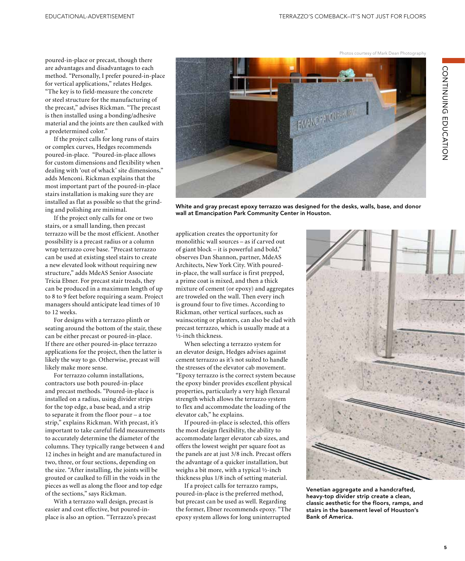CONTINUING EDUCATION CONTINUING EDUCATION

poured-in-place or precast, though there are advantages and disadvantages to each method. "Personally, I prefer poured-in-place for vertical applications," relates Hedges. "The key is to field-measure the concrete or steel structure for the manufacturing of the precast," advises Rickman. "The precast is then installed using a bonding/adhesive material and the joints are then caulked with a predetermined color."

If the project calls for long runs of stairs or complex curves, Hedges recommends poured-in-place. "Poured-in-place allows for custom dimensions and flexibility when dealing with 'out of whack' site dimensions," adds Menconi. Rickman explains that the most important part of the poured-in-place stairs installation is making sure they are installed as flat as possible so that the grinding and polishing are minimal.

If the project only calls for one or two stairs, or a small landing, then precast terrazzo will be the most efficient. Another possibility is a precast radius or a column wrap terrazzo cove base. "Precast terrazzo can be used at existing steel stairs to create a new elevated look without requiring new structure," adds MdeAS Senior Associate Tricia Ebner. For precast stair treads, they can be produced in a maximum length of up to 8 to 9 feet before requiring a seam. Project managers should anticipate lead times of 10 to 12 weeks.

For designs with a terrazzo plinth or seating around the bottom of the stair, these can be either precast or poured-in-place. If there are other poured-in-place terrazzo applications for the project, then the latter is likely the way to go. Otherwise, precast will likely make more sense.

For terrazzo column installations, contractors use both poured-in-place and precast methods. "Poured-in-place is installed on a radius, using divider strips for the top edge, a base bead, and a strip to separate it from the floor pour – a toe strip," explains Rickman. With precast, it's important to take careful field measurements to accurately determine the diameter of the columns. They typically range between 4 and 12 inches in height and are manufactured in two, three, or four sections, depending on the size. "After installing, the joints will be grouted or caulked to fill in the voids in the pieces as well as along the floor and top edge of the sections," says Rickman.

With a terrazzo wall design, precast is easier and cost effective, but poured-inplace is also an option. "Terrazzo's precast EMANC PATON PARTIES

White and gray precast epoxy terrazzo was designed for the desks, walls, base, and donor wall at Emancipation Park Community Center in Houston.

application creates the opportunity for monolithic wall sources – as if carved out of giant block – it is powerful and bold," observes Dan Shannon, partner, MdeAS Architects, New York City. With pouredin-place, the wall surface is first prepped, a prime coat is mixed, and then a thick mixture of cement (or epoxy) and aggregates are troweled on the wall. Then every inch is ground four to five times. According to Rickman, other vertical surfaces, such as wainscoting or planters, can also be clad with precast terrazzo, which is usually made at a ½-inch thickness.

When selecting a terrazzo system for an elevator design, Hedges advises against cement terrazzo as it's not suited to handle the stresses of the elevator cab movement. "Epoxy terrazzo is the correct system because the epoxy binder provides excellent physical properties, particularly a very high flexural strength which allows the terrazzo system to flex and accommodate the loading of the elevator cab," he explains.

If poured-in-place is selected, this offers the most design flexibility, the ability to accommodate larger elevator cab sizes, and offers the lowest weight per square foot as the panels are at just 3/8 inch. Precast offers the advantage of a quicker installation, but weighs a bit more, with a typical ½-inch thickness plus 1/8 inch of setting material.

If a project calls for terrazzo ramps, poured-in-place is the preferred method, but precast can be used as well. Regarding the former, Ebner recommends epoxy. "The epoxy system allows for long uninterrupted



Venetian aggregate and a handcrafted, heavy-top divider strip create a clean, classic aesthetic for the floors, ramps, and stairs in the basement level of Houston's Bank of America.

Photos courtesy of Mark Dean Photography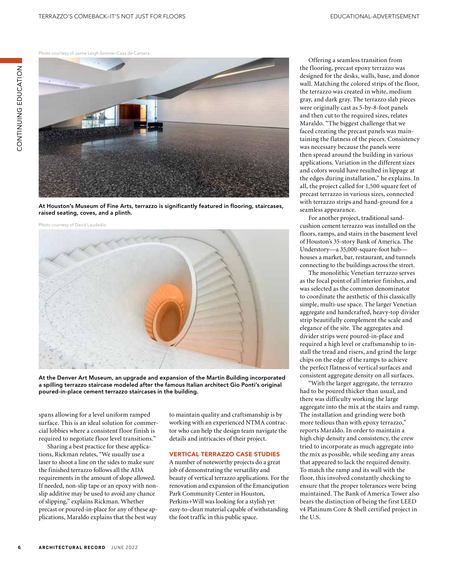Photo courtesy of Jaime Leigh Sonnier-Casa de Camera

ZOI-YUJQI UZIJZI-IZOU

CONTINUING EDUCATION



At Houston's Museum of Fine Arts, terrazzo is significantly featured in flooring, staircases, raised seating, coves, and a plinth.



At the Denver Art Museum, an upgrade and expansion of the Martin Building incorporated a spilling terrazzo staircase modeled after the famous Italian architect Gio Ponti's original poured-in-place cement terrazzo staircases in the building.

spans allowing for a level uniform ramped surface. This is an ideal solution for commercial lobbies where a consistent floor finish is required to negotiate floor level transitions."

Sharing a best practice for these applications, Rickman relates, "We usually use a laser to shoot a line on the sides to make sure the finished terrazzo follows all the ADA requirements in the amount of slope allowed. If needed, non-slip tape or an epoxy with nonslip additive may be used to avoid any chance of slipping," explains Rickman. Whether precast or poured-in-place for any of these applications, Maraldo explains that the best way

to maintain quality and craftsmanship is by working with an experienced NTMA contractor who can help the design team navigate the details and intricacies of their project.

## VERTICAL TERRAZZO CASE STUDIES

A number of noteworthy projects do a great job of demonstrating the versatility and beauty of vertical terrazzo applications. For the renovation and expansion of the Emancipation Park Community Center in Houston, Perkins+Will was looking for a stylish yet easy-to-clean material capable of withstanding the foot traffic in this public space.

Offering a seamless transition from the flooring, precast epoxy terrazzo was designed for the desks, walls, base, and donor wall. Matching the colored strips of the floor, the terrazzo was created in white, medium gray, and dark gray. The terrazzo slab pieces were originally cast as 5-by-8-foot panels and then cut to the required sizes, relates Maraldo. "The biggest challenge that we faced creating the precast panels was maintaining the flatness of the pieces. Consistency was necessary because the panels were then spread around the building in various applications. Variation in the different sizes and colors would have resulted in lippage at the edges during installation," he explains. In all, the project called for 1,500 square feet of precast terrazzo in various sizes, connected with terrazzo strips and hand-ground for a seamless appearance.

For another project, traditional sandcushion cement terrazzo was installed on the floors, ramps, and stairs in the basement level of Houston's 35-story Bank of America. The Understory—a 35,000-square-foot hub houses a market, bar, restaurant, and tunnels connecting to the buildings across the street.

The monolithic Venetian terrazzo serves as the focal point of all interior finishes, and was selected as the common denominator to coordinate the aesthetic of this classically simple, multi-use space. The larger Venetian aggregate and handcrafted, heavy-top divider strip beautifully complement the scale and elegance of the site. The aggregates and divider strips were poured-in-place and required a high level or craftsmanship to install the tread and risers, and grind the large chips on the edge of the ramps to achieve the perfect flatness of vertical surfaces and consistent aggregate density on all surfaces.

"With the larger aggregate, the terrazzo had to be poured thicker than usual, and there was difficulty working the large aggregate into the mix at the stairs and ramp. The installation and grinding were both more tedious than with epoxy terrazzo," reports Maraldo. In order to maintain a high chip density and consistency, the crew tried to incorporate as much aggregate into the mix as possible, while seeding any areas that appeared to lack the required density. To match the ramp and its wall with the floor, this involved constantly checking to ensure that the proper tolerances were being maintained. The Bank of America Tower also bears the distinction of being the first LEED v4 Platinum Core & Shell certified project in the U.S.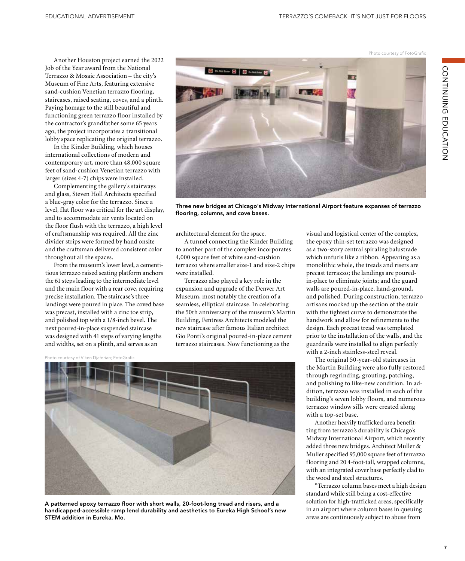Another Houston project earned the 2022 Job of the Year award from the National Terrazzo & Mosaic Association – the city's Museum of Fine Arts, featuring extensive sand-cushion Venetian terrazzo flooring, staircases, raised seating, coves, and a plinth. Paying homage to the still beautiful and functioning green terrazzo floor installed by the contractor's grandfather some 65 years ago, the project incorporates a transitional lobby space replicating the original terrazzo.

In the Kinder Building, which houses international collections of modern and contemporary art, more than 48,000 square feet of sand-cushion Venetian terrazzo with larger (sizes 4-7) chips were installed.

Complementing the gallery's stairways and glass, Steven Holl Architects specified a blue-gray color for the terrazzo. Since a level, flat floor was critical for the art display, and to accommodate air vents located on the floor flush with the terrazzo, a high level of craftsmanship was required. All the zinc divider strips were formed by hand onsite and the craftsman delivered consistent color throughout all the spaces.

From the museum's lower level, a cementitious terrazzo raised seating platform anchors the 61 steps leading to the intermediate level and the main floor with a rear cove, requiring precise installation. The staircase's three landings were poured in place. The coved base was precast, installed with a zinc toe strip, and polished top with a 1/8-inch bevel. The next poured-in-place suspended staircase was designed with 41 steps of varying lengths and widths, set on a plinth, and serves as an

Photo courtesy of Viken Djaferian; FotoGrafix



A patterned epoxy terrazzo floor with short walls, 20-foot-long tread and risers, and a handicapped-accessible ramp lend durability and aesthetics to Eureka High School's new STEM addition in Eureka, Mo.



Three new bridges at Chicago's Midway International Airport feature expanses of terrazzo flooring, columns, and cove bases.

architectural element for the space.

A tunnel connecting the Kinder Building to another part of the complex incorporates 4,000 square feet of white sand-cushion terrazzo where smaller size-1 and size-2 chips were installed.

Terrazzo also played a key role in the expansion and upgrade of the Denver Art Museum, most notably the creation of a seamless, elliptical staircase. In celebrating the 50th anniversary of the museum's Martin Building, Fentress Architects modeled the new staircase after famous Italian architect Gio Ponti's original poured-in-place cement terrazzo staircases. Now functioning as the

visual and logistical center of the complex, the epoxy thin-set terrazzo was designed as a two-story central spiraling balustrade which unfurls like a ribbon. Appearing as a monolithic whole, the treads and risers are precast terrazzo; the landings are pouredin-place to eliminate joints; and the guard walls are poured-in-place, hand-ground, and polished. During construction, terrazzo artisans mocked up the section of the stair with the tightest curve to demonstrate the handwork and allow for refinements to the design. Each precast tread was templated prior to the installation of the walls, and the guardrails were installed to align perfectly with a 2-inch stainless-steel reveal.

The original 50-year-old staircases in the Martin Building were also fully restored through regrinding, grouting, patching, and polishing to like-new condition. In addition, terrazzo was installed in each of the building's seven lobby floors, and numerous terrazzo window sills were created along with a top-set base.

Another heavily trafficked area benefitting from terrazzo's durability is Chicago's Midway International Airport, which recently added three new bridges. Architect Muller & Muller specified 95,000 square feet of terrazzo flooring and 20 4-foot-tall, wrapped columns, with an integrated cover base perfectly clad to the wood and steel structures.

"Terrazzo column bases meet a high design standard while still being a cost-effective solution for high-trafficked areas, specifically in an airport where column bases in queuing areas are continuously subject to abuse from

Photo courtesy of FotoGrafix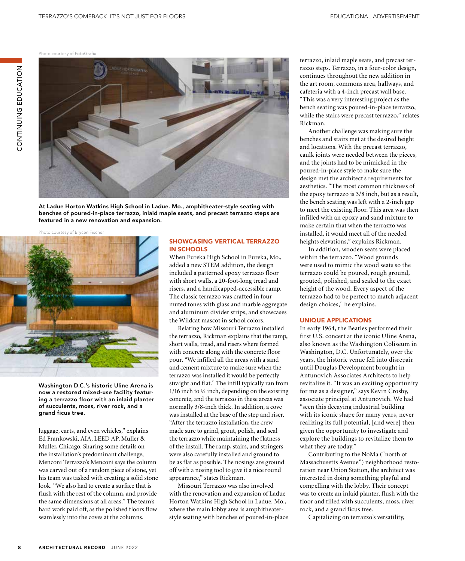Photo courtesy of FotoGrafix



At Ladue Horton Watkins High School in Ladue. Mo., amphitheater-style seating with benches of poured-in-place terrazzo, inlaid maple seats, and precast terrazzo steps are featured in a new renovation and expansion.

Photo courtesy of Brycen Fischer



Washington D.C.'s historic Uline Arena is now a restored mixed-use facility featuring a terrazzo floor with an inlaid planter of succulents, moss, river rock, and a grand ficus tree.

luggage, carts, and even vehicles," explains Ed Frankowski, AIA, LEED AP, Muller & Muller, Chicago. Sharing some details on the installation's predominant challenge, Menconi Terrazzo's Menconi says the column was carved out of a random piece of stone, yet his team was tasked with creating a solid stone look. "We also had to create a surface that is flush with the rest of the column, and provide the same dimensions at all areas." The team's hard work paid off, as the polished floors flow seamlessly into the coves at the columns.

# SHOWCASING VERTICAL TERRAZZO IN SCHOOLS

When Eureka High School in Eureka, Mo., added a new STEM addition, the design included a patterned epoxy terrazzo floor with short walls, a 20-foot-long tread and risers, and a handicapped-accessible ramp. The classic terrazzo was crafted in four muted tones with glass and marble aggregate and aluminum divider strips, and showcases the Wildcat mascot in school colors.

Relating how Missouri Terrazzo installed the terrazzo, Rickman explains that the ramp, short walls, tread, and risers where formed with concrete along with the concrete floor pour. "We infilled all the areas with a sand and cement mixture to make sure when the terrazzo was installed it would be perfectly straight and flat." The infill typically ran from 1/16 inch to ¼ inch, depending on the existing concrete, and the terrazzo in these areas was normally 3/8-inch thick. In addition, a cove was installed at the base of the step and riser. "After the terrazzo installation, the crew made sure to grind, grout, polish, and seal the terrazzo while maintaining the flatness of the install. The ramp, stairs, and stringers were also carefully installed and ground to be as flat as possible. The nosings are ground off with a nosing tool to give it a nice round appearance," states Rickman.

Missouri Terrazzo was also involved with the renovation and expansion of Ladue Horton Watkins High School in Ladue. Mo., where the main lobby area is amphitheaterstyle seating with benches of poured-in-place terrazzo, inlaid maple seats, and precast terrazzo steps. Terrazzo, in a four-color design, continues throughout the new addition in the art room, commons area, hallways, and cafeteria with a 4-inch precast wall base. "This was a very interesting project as the bench seating was poured-in-place terrazzo, while the stairs were precast terrazzo," relates Rickman.

Another challenge was making sure the benches and stairs met at the desired height and locations. With the precast terrazzo, caulk joints were needed between the pieces, and the joints had to be mimicked in the poured-in-place style to make sure the design met the architect's requirements for aesthetics. "The most common thickness of the epoxy terrazzo is 3/8 inch, but as a result, the bench seating was left with a 2-inch gap to meet the existing floor. This area was then infilled with an epoxy and sand mixture to make certain that when the terrazzo was installed, it would meet all of the needed heights elevations," explains Rickman.

In addition, wooden seats were placed within the terrazzo. "Wood grounds were used to mimic the wood seats so the terrazzo could be poured, rough ground, grouted, polished, and sealed to the exact height of the wood. Every aspect of the terrazzo had to be perfect to match adjacent design choices," he explains.

# UNIQUE APPLICATIONS

In early 1964, the Beatles performed their first U.S. concert at the iconic Uline Arena, also known as the Washington Coliseum in Washington, D.C. Unfortunately, over the years, the historic venue fell into disrepair until Douglas Development brought in Antunovich Associates Architects to help revitalize it. "It was an exciting opportunity for me as a designer," says Kevin Crosby, associate principal at Antunovich. We had "seen this decaying industrial building with its iconic shape for many years, never realizing its full potential, [and were] then given the opportunity to investigate and explore the buildings to revitalize them to what they are today."

Contributing to the NoMa ("north of Massachusetts Avenue") neighborhood restoration near Union Station, the architect was interested in doing something playful and compelling with the lobby. Their concept was to create an inlaid planter, flush with the floor and filled with succulents, moss, river rock, and a grand ficus tree.

Capitalizing on terrazzo's versatility,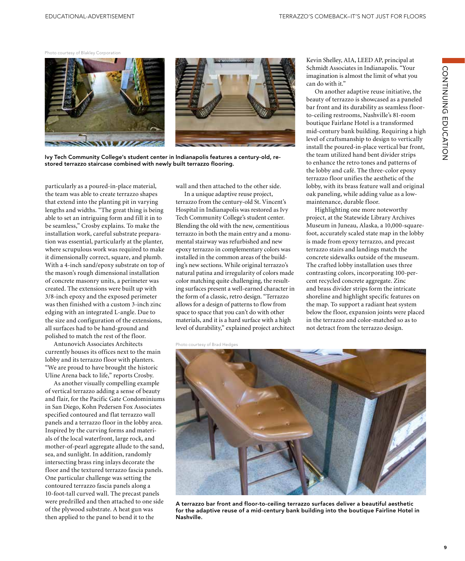Photo courtesy of Blakley Corporation



Ivy Tech Community College's student center in Indianapolis features a century-old, restored terrazzo staircase combined with newly built terrazzo flooring.

particularly as a poured-in-place material, the team was able to create terrazzo shapes that extend into the planting pit in varying lengths and widths. "The great thing is being able to set an intriguing form and fill it in to be seamless," Crosby explains. To make the installation work, careful substrate preparation was essential, particularly at the planter, where scrupulous work was required to make it dimensionally correct, square, and plumb. With a 4-inch sand/epoxy substrate on top of the mason's rough dimensional installation of concrete masonry units, a perimeter was created. The extensions were built up with 3/8-inch epoxy and the exposed perimeter was then finished with a custom 3-inch zinc edging with an integrated L-angle. Due to the size and configuration of the extensions, all surfaces had to be hand-ground and polished to match the rest of the floor.

Antunovich Associates Architects currently houses its offices next to the main lobby and its terrazzo floor with planters. "We are proud to have brought the historic Uline Arena back to life," reports Crosby.

As another visually compelling example of vertical terrazzo adding a sense of beauty and flair, for the Pacific Gate Condominiums in San Diego, Kohn Pedersen Fox Associates specified contoured and flat terrazzo wall panels and a terrazzo floor in the lobby area. Inspired by the curving forms and materials of the local waterfront, large rock, and mother-of-pearl aggregate allude to the sand, sea, and sunlight. In addition, randomly intersecting brass ring inlays decorate the floor and the textured terrazzo fascia panels. One particular challenge was setting the contoured terrazzo fascia panels along a 10-foot-tall curved wall. The precast panels were predrilled and then attached to one side of the plywood substrate. A heat gun was then applied to the panel to bend it to the

wall and then attached to the other side.

In a unique adaptive reuse project, terrazzo from the century-old St. Vincent's Hospital in Indianapolis was restored as Ivy Tech Community College's student center. Blending the old with the new, cementitious terrazzo in both the main entry and a monumental stairway was refurbished and new epoxy terrazzo in complementary colors was installed in the common areas of the building's new sections. While original terrazzo's natural patina and irregularity of colors made color matching quite challenging, the resulting surfaces present a well-earned character in the form of a classic, retro design. "Terrazzo allows for a design of patterns to flow from space to space that you can't do with other materials, and it is a hard surface with a high level of durability," explained project architect

Photo courtesy of Brad Hedges

Kevin Shelley, AIA, LEED AP, principal at Schmidt Associates in Indianapolis. "Your imagination is almost the limit of what you can do with it."

On another adaptive reuse initiative, the beauty of terrazzo is showcased as a paneled bar front and its durability as seamless floorto-ceiling restrooms, Nashville's 81-room boutique Fairlane Hotel is a transformed mid-century bank building. Requiring a high level of craftsmanship to design to vertically install the poured-in-place vertical bar front, the team utilized hand bent divider strips to enhance the retro tones and patterns of the lobby and café. The three-color epoxy terrazzo floor unifies the aesthetic of the lobby, with its brass feature wall and original oak paneling, while adding value as a lowmaintenance, durable floor.

Highlighting one more noteworthy project, at the Statewide Library Archives Museum in Juneau, Alaska, a 10,000-squarefoot, accurately scaled state map in the lobby is made from epoxy terrazzo, and precast terrazzo stairs and landings match the concrete sidewalks outside of the museum. The crafted lobby installation uses three contrasting colors, incorporating 100-percent recycled concrete aggregate. Zinc and brass divider strips form the intricate shoreline and highlight specific features on the map. To support a radiant heat system below the floor, expansion joints were placed in the terrazzo and color-matched so as to not detract from the terrazzo design.



A terrazzo bar front and floor-to-ceiling terrazzo surfaces deliver a beautiful aesthetic for the adaptive reuse of a mid-century bank building into the boutique Fairline Hotel in Nashville.